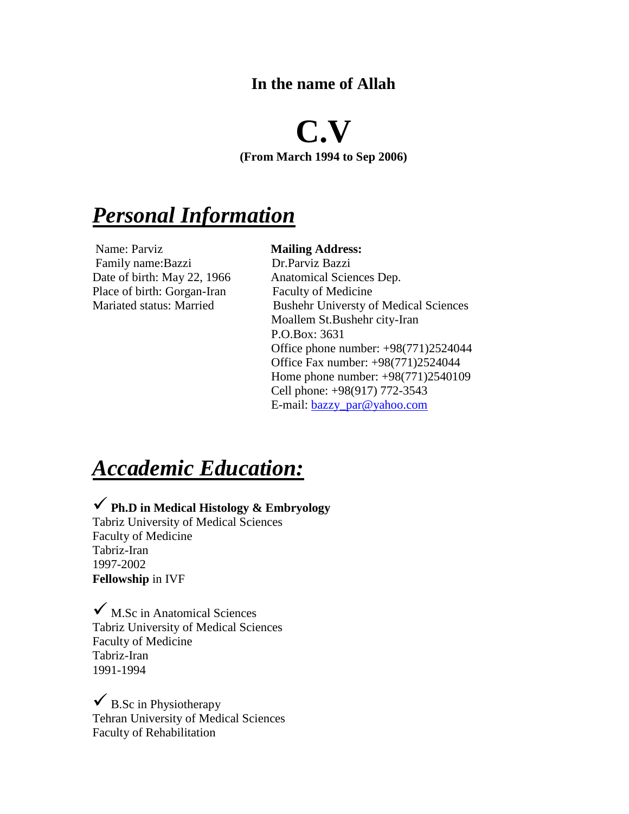#### **In the name of Allah**

# **C.V**

**(From March 1994 to Sep 2006)**

# *Personal Information*

Name: Parviz **Mailing Address:**  Family name:Bazzi Dr.Parviz Bazzi Date of birth: May 22, 1966 Anatomical Sciences Dep. Place of birth: Gorgan-Iran Faculty of Medicine

Mariated status: Married Bushehr Universty of Medical Sciences Moallem St.Bushehr city-Iran P.O.Box: 3631 Office phone number: +98(771)2524044 Office Fax number: +98(771)2524044 Home phone number: +98(771)2540109 Cell phone: +98(917) 772-3543 E-mail: [bazzy\\_par@yahoo.com](mailto:bazzy_par@yahoo.com)

# *Accademic Education:*

 **Ph.D in Medical Histology & Embryology** Tabriz University of Medical Sciences Faculty of Medicine

Tabriz-Iran 1997-2002 **Fellowship** in IVF

 $\checkmark$  M.Sc in Anatomical Sciences Tabriz University of Medical Sciences Faculty of Medicine Tabriz-Iran 1991-1994

 $\checkmark$  B.Sc in Physiotherapy Tehran University of Medical Sciences Faculty of Rehabilitation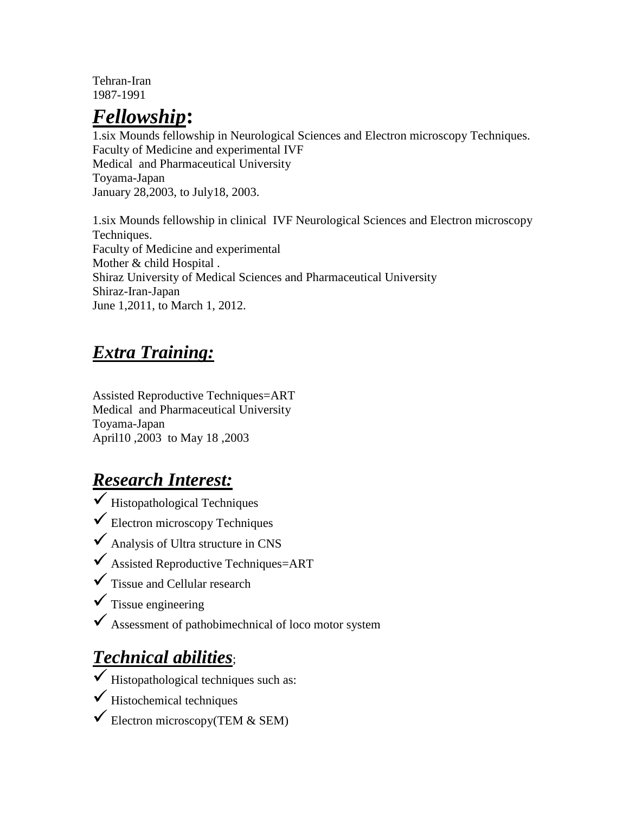Tehran-Iran 1987-1991

# *Fellowship***:**

1.six Mounds fellowship in Neurological Sciences and Electron microscopy Techniques. Faculty of Medicine and experimental IVF Medical and Pharmaceutical University Toyama-Japan January 28,2003, to July18, 2003.

1.six Mounds fellowship in clinical IVF Neurological Sciences and Electron microscopy Techniques. Faculty of Medicine and experimental Mother & child Hospital . Shiraz University of Medical Sciences and Pharmaceutical University Shiraz-Iran-Japan June 1,2011, to March 1, 2012.

## *Extra Training:*

Assisted Reproductive Techniques=ART Medical and Pharmaceutical University Toyama-Japan April10 ,2003 to May 18 ,2003

## *Research Interest:*

- $\checkmark$  Histopathological Techniques
- $\checkmark$  Electron microscopy Techniques
- Analysis of Ultra structure in CNS
- Assisted Reproductive Techniques=ART
- $\checkmark$  Tissue and Cellular research
- $\checkmark$  Tissue engineering
- $\checkmark$  Assessment of pathobimechnical of loco motor system

# *Technical abilities*;

- $\checkmark$  Histopathological techniques such as:
- $\checkmark$  Histochemical techniques
- $\checkmark$  Electron microscopy(TEM & SEM)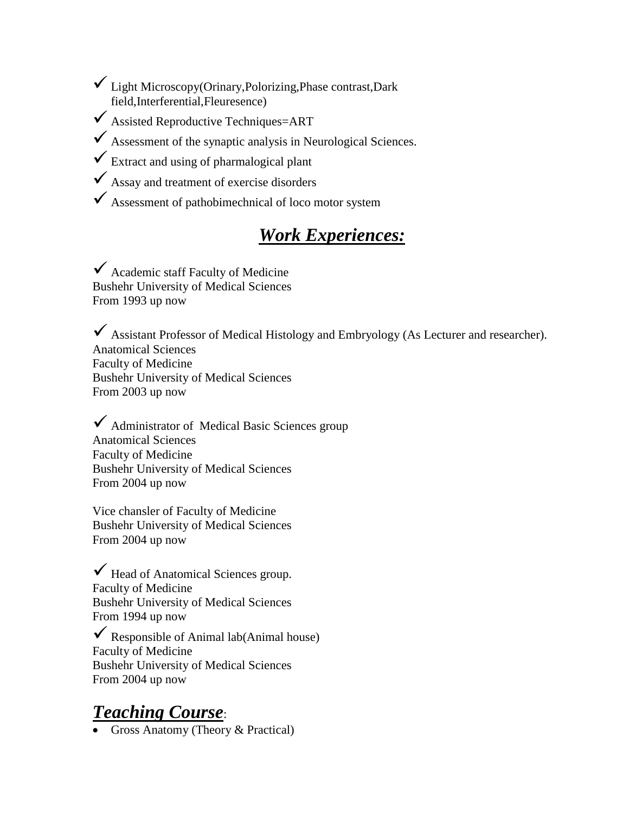- $\checkmark$  Light Microscopy(Orinary,Polorizing,Phase contrast,Dark field,Interferential,Fleuresence)
- Assisted Reproductive Techniques=ART
- $\checkmark$  Assessment of the synaptic analysis in Neurological Sciences.
- $\checkmark$  Extract and using of pharmalogical plant
- $\checkmark$  Assay and treatment of exercise disorders
- $\checkmark$  Assessment of pathobimechnical of loco motor system

## *Work Experiences:*

 $\checkmark$  Academic staff Faculty of Medicine Bushehr University of Medical Sciences From 1993 up now

 $\checkmark$  Assistant Professor of Medical Histology and Embryology (As Lecturer and researcher). Anatomical Sciences Faculty of Medicine Bushehr University of Medical Sciences From 2003 up now

 Administrator of Medical Basic Sciences group Anatomical Sciences Faculty of Medicine Bushehr University of Medical Sciences From 2004 up now

Vice chansler of Faculty of Medicine Bushehr University of Medical Sciences From 2004 up now

 $\checkmark$  Head of Anatomical Sciences group. Faculty of Medicine Bushehr University of Medical Sciences From 1994 up now

 $\checkmark$  Responsible of Animal lab(Animal house) Faculty of Medicine Bushehr University of Medical Sciences From 2004 up now

### *Teaching Course*:

• Gross Anatomy (Theory & Practical)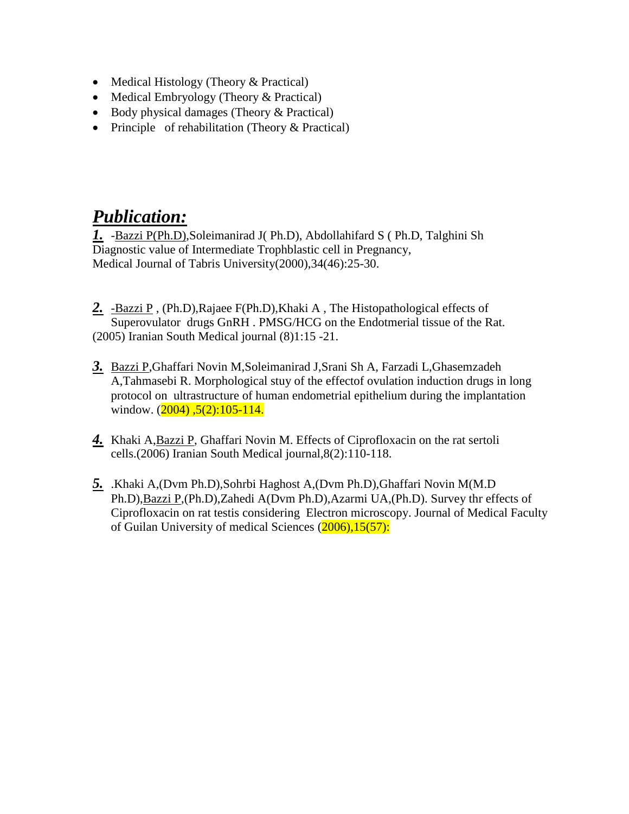- Medical Histology (Theory & Practical)
- Medical Embryology (Theory & Practical)
- Body physical damages (Theory & Practical)
- Principle of rehabilitation (Theory & Practical)

#### *Publication:*

*1.* -Bazzi P(Ph.D),Soleimanirad J( Ph.D), Abdollahifard S ( Ph.D, Talghini Sh Diagnostic value of Intermediate Trophblastic cell in Pregnancy, Medical Journal of Tabris University(2000),34(46):25-30.

2. -Bazzi P, (Ph.D), Rajaee F(Ph.D), Khaki A, The Histopathological effects of Superovulator drugs GnRH . PMSG/HCG on the Endotmerial tissue of the Rat. (2005) Iranian South Medical journal (8)1:15 -21.

- *3.* Bazzi P,Ghaffari Novin M,Soleimanirad J,Srani Sh A, Farzadi L,Ghasemzadeh A,Tahmasebi R. Morphological stuy of the effectof ovulation induction drugs in long protocol on ultrastructure of human endometrial epithelium during the implantation window. (2004), 5(2): 105-114.
- *4.* Khaki A,Bazzi P, Ghaffari Novin M. Effects of Ciprofloxacin on the rat sertoli cells.(2006) Iranian South Medical journal,8(2):110-118.
- *5.* .Khaki A,(Dvm Ph.D),Sohrbi Haghost A,(Dvm Ph.D),Ghaffari Novin M(M.D Ph.D),Bazzi P,(Ph.D),Zahedi A(Dvm Ph.D),Azarmi UA,(Ph.D). Survey thr effects of Ciprofloxacin on rat testis considering Electron microscopy. Journal of Medical Faculty of Guilan University of medical Sciences (2006), 15(57):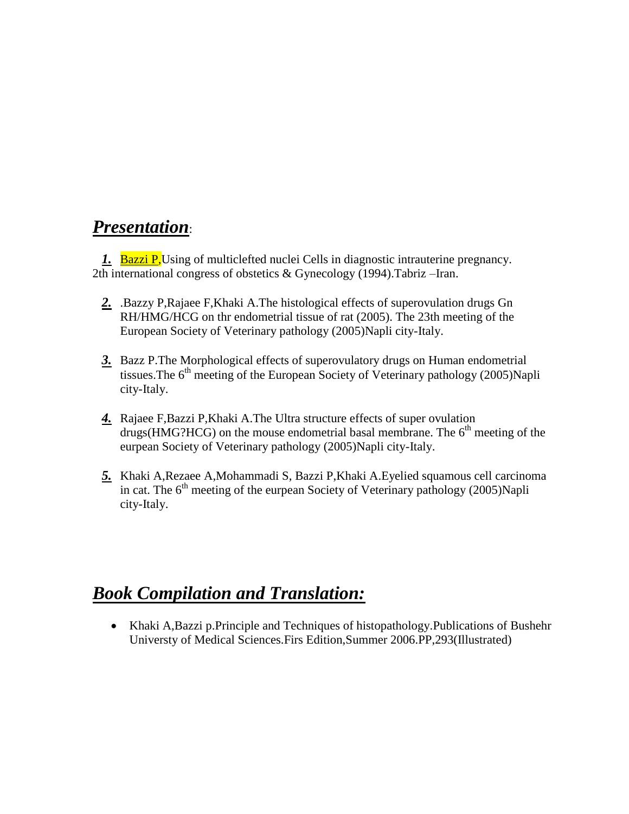#### *Presentation*:

**1.** Bazzi P, Using of multiclefted nuclei Cells in diagnostic intrauterine pregnancy. 2th international congress of obstetics & Gynecology (1994).Tabriz –Iran.

- *2.* .Bazzy P,Rajaee F,Khaki A.The histological effects of superovulation drugs Gn RH/HMG/HCG on thr endometrial tissue of rat (2005). The 23th meeting of the European Society of Veterinary pathology (2005)Napli city-Italy.
- *3.* Bazz P.The Morphological effects of superovulatory drugs on Human endometrial tissues. The  $6<sup>th</sup>$  meeting of the European Society of Veterinary pathology (2005)Napli city-Italy.
- *4.* Rajaee F,Bazzi P,Khaki A.The Ultra structure effects of super ovulation drugs(HMG?HCG) on the mouse endometrial basal membrane. The  $6<sup>th</sup>$  meeting of the eurpean Society of Veterinary pathology (2005)Napli city-Italy.
- *5.* Khaki A,Rezaee A,Mohammadi S, Bazzi P,Khaki A.Eyelied squamous cell carcinoma in cat. The 6<sup>th</sup> meeting of the eurpean Society of Veterinary pathology (2005)Napli city-Italy.

### *Book Compilation and Translation:*

 Khaki A,Bazzi p.Principle and Techniques of histopathology.Publications of Bushehr Universty of Medical Sciences.Firs Edition,Summer 2006.PP,293(Illustrated)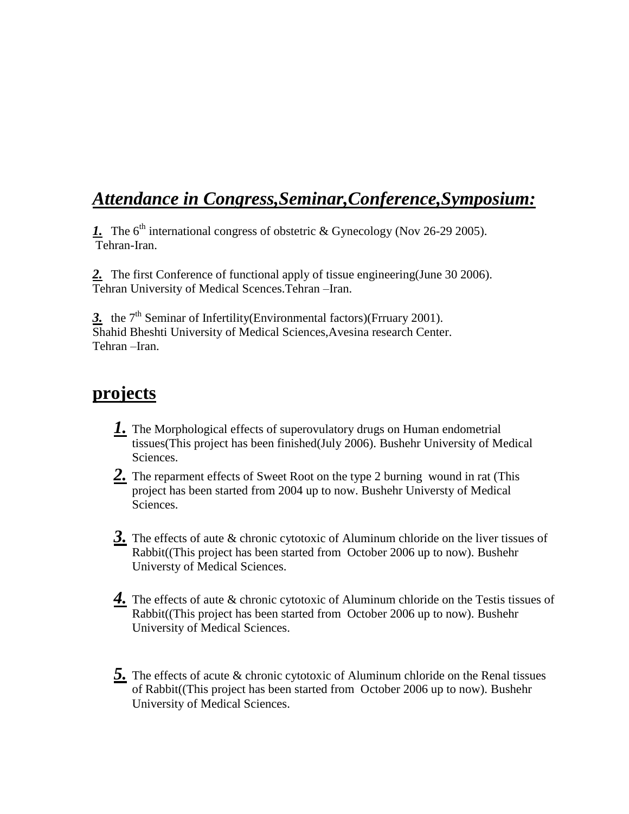#### *Attendance in Congress,Seminar,Conference,Symposium:*

*1.* The  $6^{th}$  international congress of obstetric & Gynecology (Nov 26-29 2005). Tehran-Iran.

*2.* The first Conference of functional apply of tissue engineering(June 30 2006). Tehran University of Medical Scences.Tehran –Iran.

3. the 7<sup>th</sup> Seminar of Infertility(Environmental factors)(Frruary 2001). Shahid Bheshti University of Medical Sciences,Avesina research Center. Tehran –Iran.

#### **projects**

- *1.* The Morphological effects of superovulatory drugs on Human endometrial tissues(This project has been finished(July 2006). Bushehr University of Medical Sciences.
- *2.* The reparment effects of Sweet Root on the type 2 burning wound in rat (This project has been started from 2004 up to now. Bushehr Universty of Medical Sciences.
- *3.* The effects of aute & chronic cytotoxic of Aluminum chloride on the liver tissues of Rabbit((This project has been started from October 2006 up to now). Bushehr Universty of Medical Sciences.
- *4.* The effects of aute & chronic cytotoxic of Aluminum chloride on the Testis tissues of Rabbit((This project has been started from October 2006 up to now). Bushehr University of Medical Sciences.
- *5.* The effects of acute & chronic cytotoxic of Aluminum chloride on the Renal tissues of Rabbit((This project has been started from October 2006 up to now). Bushehr University of Medical Sciences.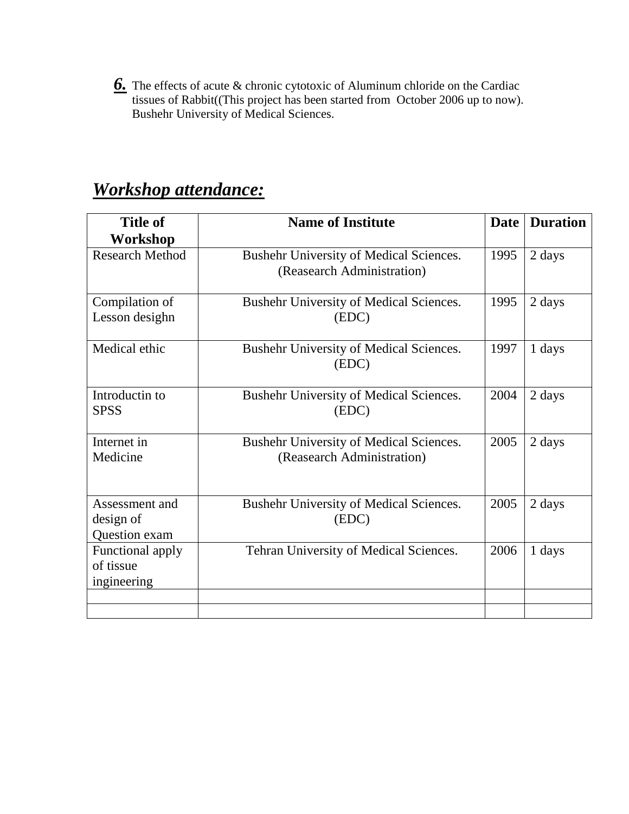*6.* The effects of acute & chronic cytotoxic of Aluminum chloride on the Cardiac tissues of Rabbit((This project has been started from October 2006 up to now). Bushehr University of Medical Sciences.

#### *Workshop attendance:*

| <b>Title of</b>                              | <b>Name of Institute</b>                                              | <b>Date</b> | <b>Duration</b> |
|----------------------------------------------|-----------------------------------------------------------------------|-------------|-----------------|
| Workshop                                     |                                                                       |             |                 |
| <b>Research Method</b>                       | Bushehr University of Medical Sciences.<br>(Reasearch Administration) | 1995        | 2 days          |
| Compilation of<br>Lesson desighn             | Bushehr University of Medical Sciences.<br>(EDC)                      | 1995        | 2 days          |
| Medical ethic                                | Bushehr University of Medical Sciences.<br>(EDC)                      | 1997        | 1 days          |
| Introductin to<br><b>SPSS</b>                | Bushehr University of Medical Sciences.<br>(EDC)                      | 2004        | 2 days          |
| Internet in<br>Medicine                      | Bushehr University of Medical Sciences.<br>(Reasearch Administration) | 2005        | 2 days          |
| Assessment and<br>design of<br>Question exam | Bushehr University of Medical Sciences.<br>(EDC)                      | 2005        | 2 days          |
| Functional apply<br>of tissue<br>ingineering | Tehran University of Medical Sciences.                                | 2006        | 1 days          |
|                                              |                                                                       |             |                 |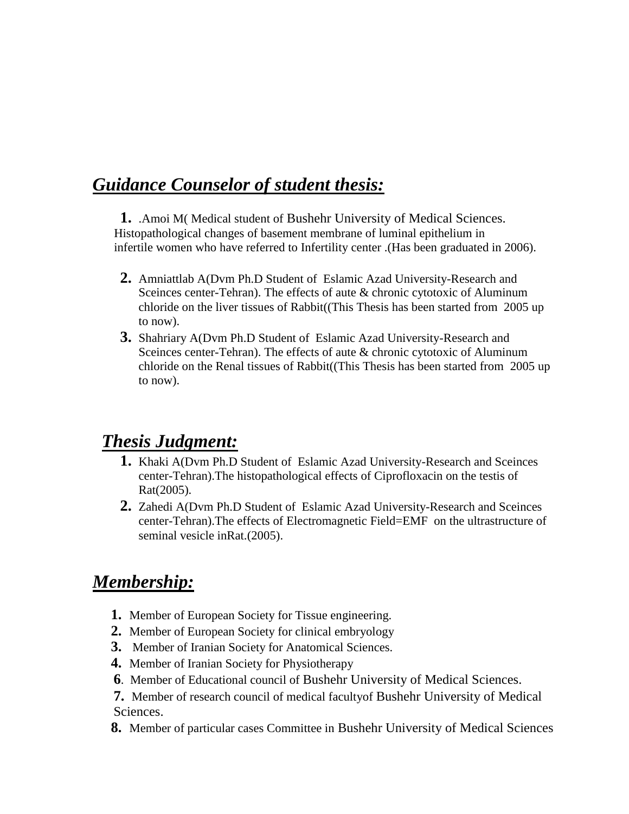#### *Guidance Counselor of student thesis:*

**1.** .Amoi M( Medical student of Bushehr University of Medical Sciences. Histopathological changes of basement membrane of luminal epithelium in infertile women who have referred to Infertility center .(Has been graduated in 2006).

- **2.** Amniattlab A(Dvm Ph.D Student of Eslamic Azad University-Research and Sceinces center-Tehran). The effects of aute & chronic cytotoxic of Aluminum chloride on the liver tissues of Rabbit((This Thesis has been started from 2005 up to now).
- **3.** Shahriary A(Dvm Ph.D Student of Eslamic Azad University-Research and Sceinces center-Tehran). The effects of aute & chronic cytotoxic of Aluminum chloride on the Renal tissues of Rabbit((This Thesis has been started from 2005 up to now).

#### *Thesis Judgment:*

- **1.** Khaki A(Dvm Ph.D Student of Eslamic Azad University-Research and Sceinces center-Tehran).The histopathological effects of Ciprofloxacin on the testis of Rat(2005).
- **2.** Zahedi A(Dvm Ph.D Student of Eslamic Azad University-Research and Sceinces center-Tehran).The effects of Electromagnetic Field=EMF on the ultrastructure of seminal vesicle inRat.(2005).

### *Membership:*

- **1.** Member of European Society for Tissue engineering.
- **2.** Member of European Society for clinical embryology
- **3.** Member of Iranian Society for Anatomical Sciences.
- **4.** Member of Iranian Society for Physiotherapy
- **6**. Member of Educational council of Bushehr University of Medical Sciences.
- **7.** Member of research council of medical facultyof Bushehr University of Medical Sciences.
- **8.** Member of particular cases Committee in Bushehr University of Medical Sciences